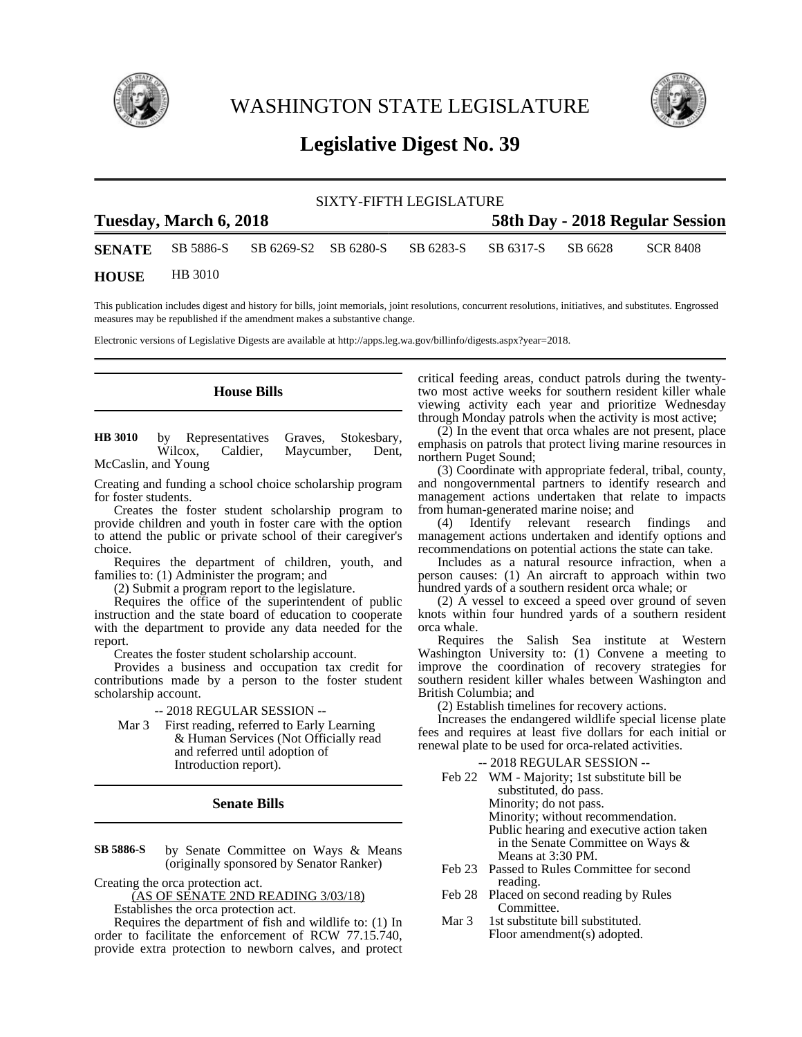

WASHINGTON STATE LEGISLATURE



# **Legislative Digest No. 39**

| SIXTY-FIFTH LEGISLATURE |                        |                                                                          |                                 |  |  |  |          |  |
|-------------------------|------------------------|--------------------------------------------------------------------------|---------------------------------|--|--|--|----------|--|
|                         | Tuesday, March 6, 2018 |                                                                          | 58th Day - 2018 Regular Session |  |  |  |          |  |
|                         |                        | <b>SENATE</b> SB 5886-S SB 6269-S2 SB 6280-S SB 6283-S SB 6317-S SB 6628 |                                 |  |  |  | SCR 8408 |  |
| <b>HOUSE</b>            | HB 3010                |                                                                          |                                 |  |  |  |          |  |

This publication includes digest and history for bills, joint memorials, joint resolutions, concurrent resolutions, initiatives, and substitutes. Engrossed measures may be republished if the amendment makes a substantive change.

Electronic versions of Legislative Digests are available at http://apps.leg.wa.gov/billinfo/digests.aspx?year=2018.

## **House Bills**

by Representatives Graves, Stokesbary,<br>Wilcox, Caldier, Maycumber, Dent, Caldier, Maycumber, Dent, McCaslin, and Young **HB 3010**

Creating and funding a school choice scholarship program for foster students.

Creates the foster student scholarship program to provide children and youth in foster care with the option to attend the public or private school of their caregiver's choice.

Requires the department of children, youth, and families to: (1) Administer the program; and

(2) Submit a program report to the legislature.

Requires the office of the superintendent of public instruction and the state board of education to cooperate with the department to provide any data needed for the report.

Creates the foster student scholarship account.

Provides a business and occupation tax credit for contributions made by a person to the foster student scholarship account.

-- 2018 REGULAR SESSION --

Mar 3 First reading, referred to Early Learning & Human Services (Not Officially read and referred until adoption of Introduction report).

# **Senate Bills**

by Senate Committee on Ways & Means (originally sponsored by Senator Ranker) **SB 5886-S**

Creating the orca protection act.

(AS OF SENATE 2ND READING 3/03/18)

Establishes the orca protection act.

Requires the department of fish and wildlife to: (1) In order to facilitate the enforcement of RCW 77.15.740, provide extra protection to newborn calves, and protect critical feeding areas, conduct patrols during the twentytwo most active weeks for southern resident killer whale viewing activity each year and prioritize Wednesday through Monday patrols when the activity is most active;

(2) In the event that orca whales are not present, place emphasis on patrols that protect living marine resources in northern Puget Sound;

(3) Coordinate with appropriate federal, tribal, county, and nongovernmental partners to identify research and management actions undertaken that relate to impacts from human-generated marine noise; and<br>(4) Identify relevant research

Identify relevant research findings and management actions undertaken and identify options and recommendations on potential actions the state can take.

Includes as a natural resource infraction, when a person causes: (1) An aircraft to approach within two hundred yards of a southern resident orca whale; or

(2) A vessel to exceed a speed over ground of seven knots within four hundred yards of a southern resident orca whale.

Requires the Salish Sea institute at Western Washington University to: (1) Convene a meeting to improve the coordination of recovery strategies for southern resident killer whales between Washington and British Columbia; and

(2) Establish timelines for recovery actions.

Increases the endangered wildlife special license plate fees and requires at least five dollars for each initial or renewal plate to be used for orca-related activities.

### -- 2018 REGULAR SESSION --

| Feb 22 WM - Majority; 1st substitute bill be |  |  |  |  |
|----------------------------------------------|--|--|--|--|
| substituted, do pass.                        |  |  |  |  |
| Minority; do not pass.                       |  |  |  |  |
| Minority; without recommendation.            |  |  |  |  |
| Public hearing and executive action taken    |  |  |  |  |
| in the Senate Committee on Ways &            |  |  |  |  |
| Means at 3:30 PM.                            |  |  |  |  |

- Feb 23 Passed to Rules Committee for second reading.
- Feb 28 Placed on second reading by Rules Committee.
- Mar 3 1st substitute bill substituted. Floor amendment(s) adopted.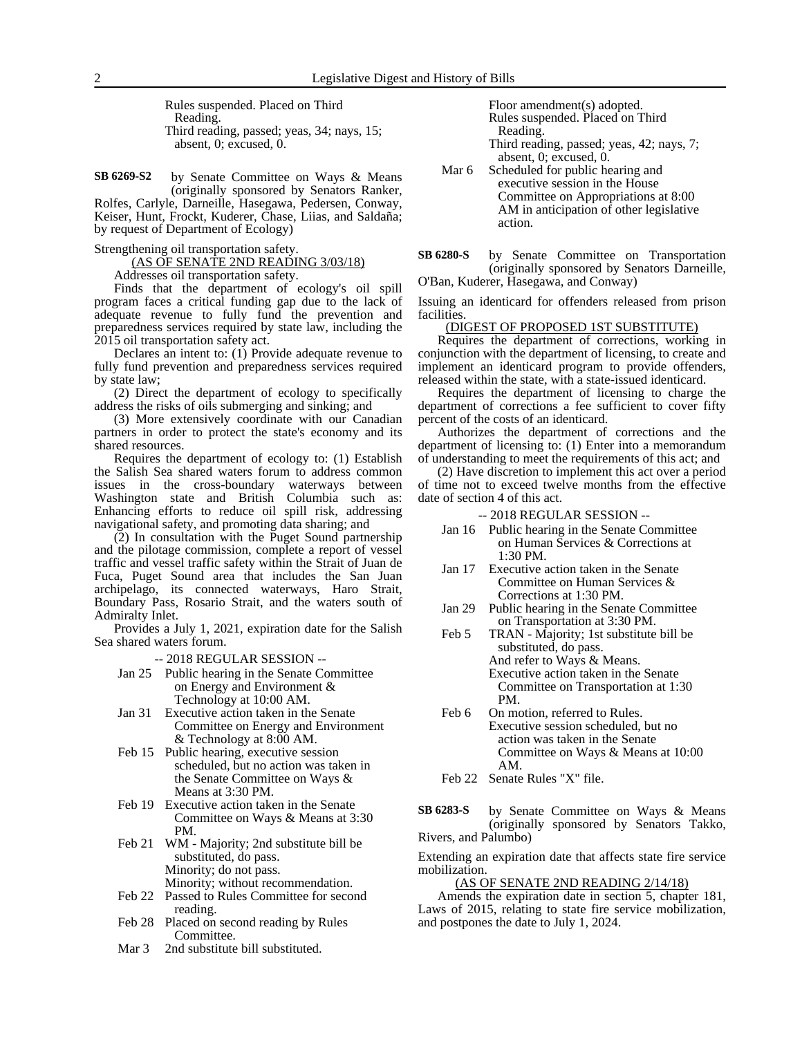Rules suspended. Placed on Third Reading. Third reading, passed; yeas, 34; nays, 15; absent, 0; excused, 0.

by Senate Committee on Ways & Means (originally sponsored by Senators Ranker, Rolfes, Carlyle, Darneille, Hasegawa, Pedersen, Conway, **SB 6269-S2**

Keiser, Hunt, Frockt, Kuderer, Chase, Liias, and Saldaña; by request of Department of Ecology)

Strengthening oil transportation safety.

(AS OF SENATE 2ND READING 3/03/18)

Addresses oil transportation safety.

Finds that the department of ecology's oil spill program faces a critical funding gap due to the lack of adequate revenue to fully fund the prevention and preparedness services required by state law, including the 2015 oil transportation safety act.

Declares an intent to: (1) Provide adequate revenue to fully fund prevention and preparedness services required by state law;

(2) Direct the department of ecology to specifically address the risks of oils submerging and sinking; and

(3) More extensively coordinate with our Canadian partners in order to protect the state's economy and its shared resources.

Requires the department of ecology to: (1) Establish the Salish Sea shared waters forum to address common issues in the cross-boundary waterways between Washington state and British Columbia such as: Enhancing efforts to reduce oil spill risk, addressing navigational safety, and promoting data sharing; and

(2) In consultation with the Puget Sound partnership and the pilotage commission, complete a report of vessel traffic and vessel traffic safety within the Strait of Juan de Fuca, Puget Sound area that includes the San Juan archipelago, its connected waterways, Haro Strait, Boundary Pass, Rosario Strait, and the waters south of Admiralty Inlet.

Provides a July 1, 2021, expiration date for the Salish Sea shared waters forum.

-- 2018 REGULAR SESSION --

- Jan 25 Public hearing in the Senate Committee on Energy and Environment & Technology at 10:00 AM.
- Jan 31 Executive action taken in the Senate Committee on Energy and Environment & Technology at 8:00 AM.
- Feb 15 Public hearing, executive session scheduled, but no action was taken in the Senate Committee on Ways & Means at 3:30 PM.
- Feb 19 Executive action taken in the Senate Committee on Ways & Means at 3:30 PM.
- Feb 21 WM Majority; 2nd substitute bill be substituted, do pass. Minority; do not pass. Minority; without recommendation.
- Feb 22 Passed to Rules Committee for second reading.
- Feb 28 Placed on second reading by Rules Committee.
- Mar 3 2nd substitute bill substituted.

Floor amendment(s) adopted. Rules suspended. Placed on Third Reading.

- Third reading, passed; yeas, 42; nays, 7; absent, 0; excused, 0.
- Mar 6 Scheduled for public hearing and executive session in the House Committee on Appropriations at 8:00 AM in anticipation of other legislative action.

by Senate Committee on Transportation (originally sponsored by Senators Darneille, O'Ban, Kuderer, Hasegawa, and Conway) **SB 6280-S**

Issuing an identicard for offenders released from prison facilities.

#### (DIGEST OF PROPOSED 1ST SUBSTITUTE)

Requires the department of corrections, working in conjunction with the department of licensing, to create and implement an identicard program to provide offenders, released within the state, with a state-issued identicard.

Requires the department of licensing to charge the department of corrections a fee sufficient to cover fifty percent of the costs of an identicard.

Authorizes the department of corrections and the department of licensing to: (1) Enter into a memorandum of understanding to meet the requirements of this act; and

(2) Have discretion to implement this act over a period of time not to exceed twelve months from the effective date of section 4 of this act.

-- 2018 REGULAR SESSION --

- Jan 16 Public hearing in the Senate Committee on Human Services & Corrections at 1:30 PM.
- Jan 17 Executive action taken in the Senate Committee on Human Services & Corrections at 1:30 PM.
- Jan 29 Public hearing in the Senate Committee on Transportation at 3:30 PM.
- Feb 5 TRAN Majority; 1st substitute bill be substituted, do pass. And refer to Ways & Means. Executive action taken in the Senate Committee on Transportation at 1:30 PM.
- Feb 6 On motion, referred to Rules. Executive session scheduled, but no action was taken in the Senate Committee on Ways & Means at 10:00 AM.

Feb 22 Senate Rules "X" file.

by Senate Committee on Ways & Means (originally sponsored by Senators Takko, Rivers, and Palumbo) **SB 6283-S**

Extending an expiration date that affects state fire service mobilization.

# (AS OF SENATE 2ND READING 2/14/18)

Amends the expiration date in section 5, chapter 181, Laws of 2015, relating to state fire service mobilization, and postpones the date to July 1, 2024.